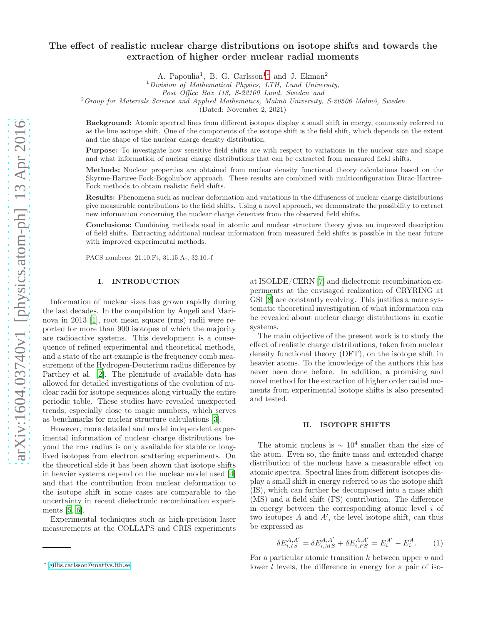# The effect of realistic nuclear charge distributions on isotope shifts and towards the extraction of higher order nuclear radial moments

A. Papoulia<sup>1</sup>, B. G. Carlsson<sup>1</sup>\* and J. Ekman<sup>2</sup>

 $1$ Division of Mathematical Physics, LTH, Lund University,

 $^{2}$  Group for Materials Science and Applied Mathematics, Malmö University, S-20506 Malmö, Sweden

(Dated: November 2, 2021)

Background: Atomic spectral lines from different isotopes display a small shift in energy, commonly referred to as the line isotope shift. One of the components of the isotope shift is the field shift, which depends on the extent and the shape of the nuclear charge density distribution.

Purpose: To investigate how sensitive field shifts are with respect to variations in the nuclear size and shape and what information of nuclear charge distributions that can be extracted from measured field shifts.

Methods: Nuclear properties are obtained from nuclear density functional theory calculations based on the Skyrme-Hartree-Fock-Bogoliubov approach. These results are combined with multiconfiguration Dirac-Hartree-Fock methods to obtain realistic field shifts.

Results: Phenomena such as nuclear deformation and variations in the diffuseness of nuclear charge distributions give measurable contributions to the field shifts. Using a novel approach, we demonstrate the possibility to extract new information concerning the nuclear charge densities from the observed field shifts.

Conclusions: Combining methods used in atomic and nuclear structure theory gives an improved description of field shifts. Extracting additional nuclear information from measured field shifts is possible in the near future with improved experimental methods.

PACS numbers: 21.10.Ft, 31.15.A-, 32.10.-f

# I. INTRODUCTION

Information of nuclear sizes has grown rapidly during the last decades. In the compilation by Angeli and Marinova in 2013 [\[1\]](#page-13-0), root mean square (rms) radii were reported for more than 900 isotopes of which the majority are radioactive systems. This development is a consequence of refined experimental and theoretical methods, and a state of the art example is the frequency comb measurement of the Hydrogen-Deuterium radius difference by Parthey et al. [\[2\]](#page-13-1). The plenitude of available data has allowed for detailed investigations of the evolution of nuclear radii for isotope sequences along virtually the entire periodic table. These studies have revealed unexpected trends, especially close to magic numbers, which serves as benchmarks for nuclear structure calculations [\[3\]](#page-13-2).

However, more detailed and model independent experimental information of nuclear charge distributions beyond the rms radius is only available for stable or longlived isotopes from electron scattering experiments. On the theoretical side it has been shown that isotope shifts in heavier systems depend on the nuclear model used [\[4](#page-13-3)] and that the contribution from nuclear deformation to the isotope shift in some cases are comparable to the uncertainty in recent dielectronic recombination experiments [\[5,](#page-13-4) [6\]](#page-13-5).

Experimental techniques such as high-precision laser measurements at the COLLAPS and CRIS experiments at ISOLDE/CERN [\[7\]](#page-13-6) and dielectronic recombination experiments at the envisaged realization of CRYRING at GSI [\[8](#page-13-7)] are constantly evolving. This justifies a more systematic theoretical investigation of what information can be revealed about nuclear charge distributions in exotic systems.

The main objective of the present work is to study the effect of realistic charge distributions, taken from nuclear density functional theory (DFT), on the isotope shift in heavier atoms. To the knowledge of the authors this has never been done before. In addition, a promising and novel method for the extraction of higher order radial moments from experimental isotope shifts is also presented and tested.

#### II. ISOTOPE SHIFTS

The atomic nucleus is  $\sim 10^4$  smaller than the size of the atom. Even so, the finite mass and extended charge distribution of the nucleus have a measurable effect on atomic spectra. Spectral lines from different isotopes display a small shift in energy referred to as the isotope shift (IS), which can further be decomposed into a mass shift (MS) and a field shift (FS) contribution. The difference in energy between the corresponding atomic level  $i$  of two isotopes A and A′ , the level isotope shift, can thus be expressed as

<span id="page-0-1"></span>
$$
\delta E_{i,IS}^{A,A'} = \delta E_{i,MS}^{A,A'} + \delta E_{i,FS}^{A,A'} = E_i^{A'} - E_i^{A}.
$$
 (1)

For a particular atomic transition  $k$  between upper  $u$  and lower l levels, the difference in energy for a pair of iso-

Post Office Box 118, S-22100 Lund, Sweden and

<span id="page-0-0"></span><sup>∗</sup> [gillis.carlsson@matfys.lth.se](mailto:gillis.carlsson@matfys.lth.se)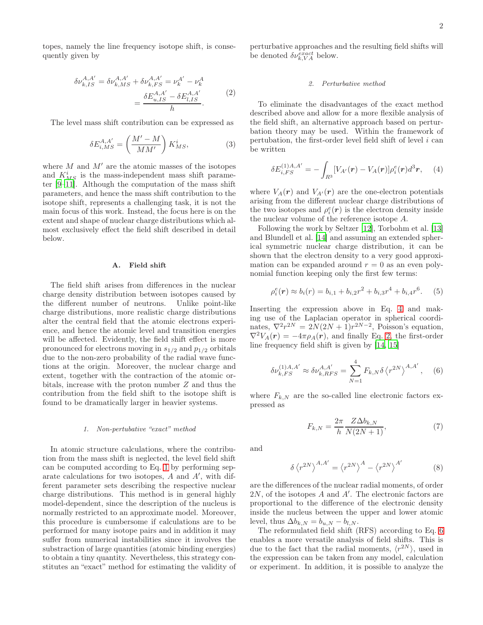topes, namely the line frequency isotope shift, is consequently given by

$$
\delta \nu_{k,IS}^{A,A'} = \delta \nu_{k,MS}^{A,A'} + \delta \nu_{k,FS}^{A,A'} = \nu_k^{A'} - \nu_k^{A} \\
= \frac{\delta E_{u,IS}^{A,A'} - \delta E_{l,IS}^{A,A'}}{h}.
$$
\n(2)

<span id="page-1-1"></span>The level mass shift contribution can be expressed as

$$
\delta E_{i,MS}^{A,A'} = \left(\frac{M'-M}{MM'}\right) K_{MS}^i,\tag{3}
$$

where  $M$  and  $M'$  are the atomic masses of the isotopes and  $K_{MS}^i$  is the mass-independent mass shift parameter [\[9](#page-13-8)[–11\]](#page-13-9). Although the computation of the mass shift parameters, and hence the mass shift contribution to the isotope shift, represents a challenging task, it is not the main focus of this work. Instead, the focus here is on the extent and shape of nuclear charge distributions which almost exclusively effect the field shift described in detail below.

# A. Field shift

The field shift arises from differences in the nuclear charge density distribution between isotopes caused by the different number of neutrons. Unlike point-like charge distributions, more realistic charge distributions alter the central field that the atomic electrons experience, and hence the atomic level and transition energies will be affected. Evidently, the field shift effect is more pronounced for electrons moving in  $s_{1/2}$  and  $p_{1/2}$  orbitals due to the non-zero probability of the radial wave functions at the origin. Moreover, the nuclear charge and extent, together with the contraction of the atomic orbitals, increase with the proton number Z and thus the contribution from the field shift to the isotope shift is found to be dramatically larger in heavier systems.

#### 1. Non-pertubative "exact" method

In atomic structure calculations, where the contribution from the mass shift is neglected, the level field shift can be computed according to Eq. [1](#page-0-1) by performing separate calculations for two isotopes,  $A$  and  $A'$ , with different parameter sets describing the respective nuclear charge distributions. This method is in general highly model-dependent, since the description of the nucleus is normally restricted to an approximate model. Moreover, this procedure is cumbersome if calculations are to be performed for many isotope pairs and in addition it may suffer from numerical instabilities since it involves the substraction of large quantities (atomic binding energies) to obtain a tiny quantity. Nevertheless, this strategy constitutes an "exact" method for estimating the validity of perturbative approaches and the resulting field shifts will be denoted  $\delta \nu_{k, VA}^{exact}$  below.

### 2. Perturbative method

To eliminate the disadvantages of the exact method described above and allow for a more flexible analysis of the field shift, an alternative approach based on perturbation theory may be used. Within the framework of pertubation, the first-order level field shift of level  $i$  can be written

<span id="page-1-0"></span>
$$
\delta E_{i,FS}^{(1)A,A'} = -\int_{R^3} [V_{A'}(\mathbf{r}) - V_A(\mathbf{r})] \rho_i^e(\mathbf{r}) d^3 \mathbf{r}, \quad (4)
$$

where  $V_A(\mathbf{r})$  and  $V_{A'}(\mathbf{r})$  are the one-electron potentials arising from the different nuclear charge distributions of the two isotopes and  $\rho_i^e(\mathbf{r})$  is the electron density inside the nuclear volume of the reference isotope A.

Following the work by Seltzer [\[12\]](#page-13-10), Torbohm et al. [\[13](#page-13-11)] and Blundell et al. [\[14\]](#page-13-12) and assuming an extended spherical symmetric nuclear charge distribution, it can be shown that the electron density to a very good approximation can be expanded around  $r = 0$  as an even polynomial function keeping only the first few terms:

<span id="page-1-3"></span>
$$
\rho_i^e(\mathbf{r}) \approx b_i(\mathbf{r}) = b_{i,1} + b_{i,2}r^2 + b_{i,3}r^4 + b_{i,4}r^6. \tag{5}
$$

Inserting the expression above in Eq. [4](#page-1-0) and making use of the Laplacian operator in spherical coordinates,  $\nabla^2 r^{2N} = 2N(2N+1)r^{2N-2}$ , Poisson's equation,  $\nabla^2 V_A(\mathbf{r}) = -4\pi \rho_A(\mathbf{r})$ , and finally Eq. [2,](#page-1-1) the first-order line frequency field shift is given by [\[14,](#page-13-12) [15\]](#page-13-13)

<span id="page-1-2"></span>
$$
\delta \nu_{k,FS}^{(1)A,A'} \approx \delta \nu_{k,RFS}^{A,A'} = \sum_{N=1}^{4} F_{k,N} \delta \left\langle r^{2N} \right\rangle^{A,A'}, \quad (6)
$$

where  $F_{k,N}$  are the so-called line electronic factors expressed as

<span id="page-1-4"></span>
$$
F_{k,N} = \frac{2\pi}{h} \frac{Z\Delta b_{k,N}}{N(2N+1)},\tag{7}
$$

and

$$
\delta \left\langle r^{2N} \right\rangle^{A,A'} = \left\langle r^{2N} \right\rangle^A - \left\langle r^{2N} \right\rangle^{A'} \tag{8}
$$

are the differences of the nuclear radial moments, of order 2N, of the isotopes A and A′ . The electronic factors are proportional to the difference of the electronic density inside the nucleus between the upper and lower atomic level, thus  $\Delta b_{k,N} = b_{u,N} - b_{l,N}$ .

The reformulated field shift (RFS) according to Eq. [6](#page-1-2) enables a more versatile analysis of field shifts. This is due to the fact that the radial moments,  $\langle r^{2N} \rangle$ , used in the expression can be taken from any model, calculation or experiment. In addition, it is possible to analyze the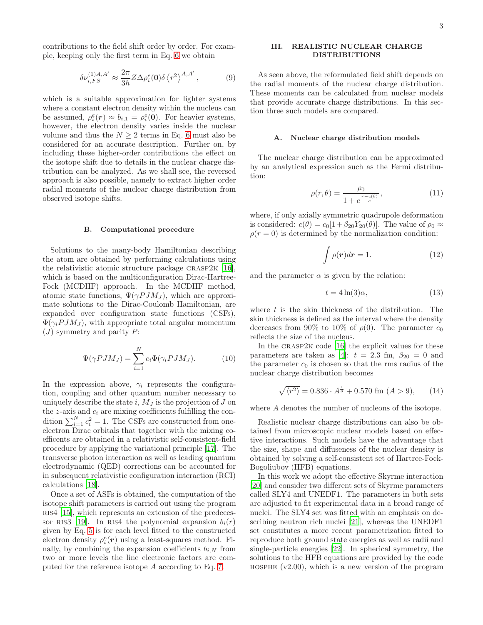contributions to the field shift order by order. For example, keeping only the first term in Eq. [6](#page-1-2) we obtain

$$
\delta\nu_{i,FS}^{(1)A,A'} \approx \frac{2\pi}{3h} Z \Delta\rho_i^e(\mathbf{0}) \delta \left\langle r^2 \right\rangle^{A,A'},\tag{9}
$$

which is a suitable approximation for lighter systems where a constant electron density within the nucleus can be assumed,  $\rho_i^e(\mathbf{r}) \approx b_{i,1} = \rho_i^e(\mathbf{0})$ . For heavier systems, however, the electron density varies inside the nuclear volume and thus the  $N \geq 2$  terms in Eq. [6](#page-1-2) must also be considered for an accurate description. Further on, by including these higher-order contributions the effect on the isotope shift due to details in the nuclear charge distribution can be analyzed. As we shall see, the reversed approach is also possible, namely to extract higher order radial moments of the nuclear charge distribution from observed isotope shifts.

# B. Computational procedure

Solutions to the many-body Hamiltonian describing the atom are obtained by performing calculations using the relativistic atomic structure package grasp2k [\[16\]](#page-13-14), which is based on the multiconfiguration Dirac-Hartree-Fock (MCDHF) approach. In the MCDHF method, atomic state functions,  $\Psi(\gamma P J M_J)$ , which are approximate solutions to the Dirac-Coulomb Hamiltonian, are expanded over configuration state functions (CSFs),  $\Phi(\gamma_i P J M_J)$ , with appropriate total angular momentum  $(J)$  symmetry and parity  $P$ :

$$
\Psi(\gamma P J M_J) = \sum_{i=1}^{N} c_i \Phi(\gamma_i P J M_J). \tag{10}
$$

In the expression above,  $\gamma_i$  represents the configuration, coupling and other quantum number necessary to uniquely describe the state  $i$ ,  $M_J$  is the projection of  $J$  on the z-axis and  $c_i$  are mixing coefficients fulfilling the condition  $\sum_{i=1}^{N} c_i^2 = 1$ . The CSFs are constructed from oneelectron Dirac orbitals that together with the mixing coefficents are obtained in a relativistic self-consistent-field procedure by applying the variational principle [\[17](#page-13-15)]. The transverse photon interaction as well as leading quantum electrodynamic (QED) corrections can be accounted for in subsequent relativistic configuration interaction (RCI) calculations [\[18\]](#page-13-16).

Once a set of ASFs is obtained, the computation of the isotope shift parameters is carried out using the program RIS4 [\[15](#page-13-13)], which represents an extension of the predeces-sor RIS3 [\[19](#page-13-17)]. In RIS4 the polynomial expansion  $b_i(r)$ given by Eq. [5](#page-1-3) is for each level fitted to the constructed electron density  $\rho_i^e(\mathbf{r})$  using a least-squares method. Finally, by combining the expansion coefficients  $b_{i,N}$  from two or more levels the line electronic factors are computed for the reference isotope A according to Eq. [7.](#page-1-4)

# III. REALISTIC NUCLEAR CHARGE DISTRIBUTIONS

As seen above, the reformulated field shift depends on the radial moments of the nuclear charge distribution. These moments can be calculated from nuclear models that provide accurate charge distributions. In this section three such models are compared.

## A. Nuclear charge distribution models

The nuclear charge distribution can be approximated by an analytical expression such as the Fermi distribution:

$$
\rho(r,\theta) = \frac{\rho_0}{1 + e^{\frac{r - c(\theta)}{a}}},\tag{11}
$$

where, if only axially symmetric quadrupole deformation is considered:  $c(\theta) = c_0[1+\beta_{20}Y_{20}(\theta)].$  The value of  $\rho_0 \approx$  $\rho(r=0)$  is determined by the normalization condition:

$$
\int \rho(\mathbf{r})d\mathbf{r} = 1. \tag{12}
$$

and the parameter  $\alpha$  is given by the relation:

$$
t = 4\ln(3)\alpha,\tag{13}
$$

where  $t$  is the skin thickness of the distribution. The skin thickness is defined as the interval where the density decreases from 90% to 10% of  $\rho(0)$ . The parameter  $c_0$ reflects the size of the nucleus.

In the grasp2k code [\[16](#page-13-14)] the explicit values for these parameters are taken as [\[4\]](#page-13-3):  $t = 2.3$  fm,  $\beta_{20} = 0$  and the parameter  $c_0$  is chosen so that the rms radius of the nuclear charge distribution becomes

<span id="page-2-0"></span>
$$
\sqrt{\langle r^2 \rangle} = 0.836 \cdot A^{\frac{1}{3}} + 0.570 \text{ fm } (A > 9), \qquad (14)
$$

where A denotes the number of nucleons of the isotope.

Realistic nuclear charge distributions can also be obtained from microscopic nuclear models based on effective interactions. Such models have the advantage that the size, shape and diffuseness of the nuclear density is obtained by solving a self-consistent set of Hartree-Fock-Bogoliubov (HFB) equations.

In this work we adopt the effective Skyrme interaction [\[20\]](#page-13-18) and consider two different sets of Skyrme parameters called SLY4 and UNEDF1. The parameters in both sets are adjusted to fit experimental data in a broad range of nuclei. The SLY4 set was fitted with an emphasis on describing neutron rich nuclei [\[21](#page-13-19)], whereas the UNEDF1 set constitutes a more recent parametrization fitted to reproduce both ground state energies as well as radii and single-particle energies [\[22](#page-13-20)]. In spherical symmetry, the solutions to the HFB equations are provided by the code HOSPHE  $(v2.00)$ , which is a new version of the program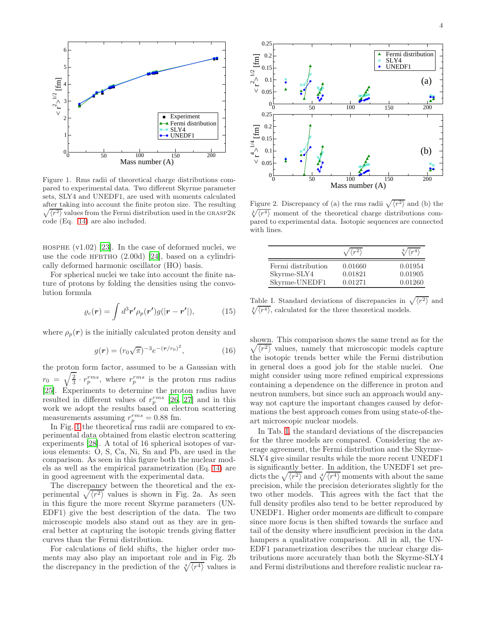

<span id="page-3-0"></span>Figure 1. Rms radii of theoretical charge distributions compared to experimental data. Two different Skyrme parameter sets, SLY4 and UNEDF1, are used with moments calculated after taking into account the finite proton size. The resulti ng  $\sqrt{\langle r^2 \rangle}$  values from the Fermi distribution used in the GRASP2K code (Eq. [14\)](#page-2-0) are also included.

HOSPHE  $(v1.02)$  [\[23\]](#page-13-21). In the case of deformed nuclei, we use the code HFBTHO  $(2.00d)$  [\[24](#page-13-22)], based on a cylindrically deformed harmonic oscillator (HO) basis.

For spherical nuclei we take into account the finite nature of protons by folding the densities using the convolution formula

$$
\varrho_c(\mathbf{r}) = \int d^3 \mathbf{r'} \rho_p(\mathbf{r'}) g(|\mathbf{r} - \mathbf{r'}|), \tag{15}
$$

where  $\rho_p(r)$  is the initially calculated proton density and

$$
g(r) = (r_0 \sqrt{\pi})^{-3} e^{-(r/r_0)^2}, \qquad (16)
$$

the proton form factor, assumed to be a Gaussian with  $r_0 = \sqrt{\frac{2}{3}} \cdot r_p^{rms}$ , where  $r_p^{rms}$  is the proton rms radius [\[25\]](#page-13-23). Experiments to determine the proton radius have resulted in different values of  $r_p^{rms}$  [\[26,](#page-13-24) [27\]](#page-13-25) and in this work we adopt the results based on electron scattering measurements assuming  $r_p^{rms} = 0.88$  fm.

In Fig. [1](#page-3-0) the theoretical rms radii are compared to experimental data obtained from elastic electron scattering experiments [\[28\]](#page-13-26). A total of 16 spherical isotopes of various elements: O, S, Ca, Ni, Sn and Pb, are used in the comparison. As seen in this figure both the nuclear models as well as the empirical parametrization (Eq. [14\)](#page-2-0) are in good agreement with the experimental data.

The discrepancy between the theoretical and the experimental  $\sqrt{\langle r^2 \rangle}$  values is shown in Fig. 2a. As seen in this figure the more recent Skyrme parameters (UN-EDF1) give the best description of the data. The two microscopic models also stand out as they are in general better at capturing the isotopic trends giving flatter curves than the Fermi distribution.

For calculations of field shifts, the higher order moments may also play an important role and in Fig. 2b the discrepancy in the prediction of the  $\sqrt[4]{\langle r^4 \rangle}$  values is



Figure 2. Discrepancy of (a) the rms radii  $\sqrt{\langle r^2 \rangle}$  and (b) the  $\sqrt[4]{\langle r^4 \rangle}$  moment of the theoretical charge distributions compared to experimental data. Isotopic sequences are connected with lines.

|                                   | $\sqrt{\langle r^2 \rangle}$ | $\langle r^4 \rangle$ |
|-----------------------------------|------------------------------|-----------------------|
| Fermi distribution<br>Skyrme-SLY4 | 0.01660<br>0.01821           | 0.01954<br>0.01905    |
| Skyrme-UNEDF1                     | 0.01271                      | 0.01260               |

<span id="page-3-1"></span>Table I. Standard deviations of discrepancies in  $\sqrt{\langle r^2 \rangle}$  and  $\sqrt[4]{\langle r^4 \rangle}$ , calculated for the three theoretical models.

shown. This comparison shows the same trend as for the  $\sqrt{\langle r^2 \rangle}$  values, namely that microscopic models capture the isotopic trends better while the Fermi distribution in general does a good job for the stable nuclei. One might consider using more refined empirical expressions containing a dependence on the difference in proton and neutron numbers, but since such an approach would anyway not capture the important changes caused by deformations the best approach comes from using state-of-theart microscopic nuclear models.

In Tab. [I,](#page-3-1) the standard deviations of the discrepancies for the three models are compared. Considering the average agreement, the Fermi distribution and the Skyrme-SLY4 give similar results while the more recent UNEDF1 is significantly better. In addition, the UNEDF1 set predicts the  $\sqrt{\langle r^2 \rangle}$  and  $\sqrt[4]{\langle r^4 \rangle}$  moments with about the same precision, while the precision deteriorates slightly for the two other models. This agrees with the fact that the full density profiles also tend to be better reproduced by UNEDF1. Higher order moments are difficult to compare since more focus is then shifted towards the surface and tail of the density where insufficient precision in the data hampers a qualitative comparison. All in all, the UN-EDF1 parametrization describes the nuclear charge distributions more accurately than both the Skyrme-SLY4 and Fermi distributions and therefore realistic nuclear ra-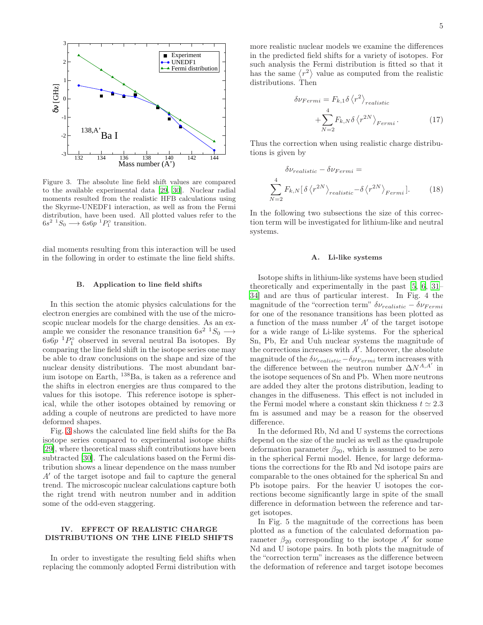

<span id="page-4-0"></span>Figure 3. The absolute line field shift values are compared to the available experimental data [\[29](#page-13-27), [30](#page-13-28)]. Nuclear radial moments resulted from the realistic HFB calculations using the Skyrme-UNEDF1 interaction, as well as from the Fermi distribution, have been used. All plotted values refer to the  $6s^2$   ${}^1S_0$   $\longrightarrow$   $6s6p$   ${}^1P_1^{\circ}$  transition.

dial moments resulting from this interaction will be used in the following in order to estimate the line field shifts.

#### B. Application to line field shifts

In this section the atomic physics calculations for the electron energies are combined with the use of the microscopic nuclear models for the charge densities. As an example we consider the resonance transition  $6s^2$   $\rightarrow$   $S_0$   $\rightarrow$  $6s6p$ <sup>1</sup> $P_1^{\circ}$  observed in several neutral Ba isotopes. By comparing the line field shift in the isotope series one may be able to draw conclusions on the shape and size of the nuclear density distributions. The most abundant barium isotope on Earth, <sup>138</sup>Ba, is taken as a reference and the shifts in electron energies are thus compared to the values for this isotope. This reference isotope is spherical, while the other isotopes obtained by removing or adding a couple of neutrons are predicted to have more deformed shapes.

Fig. [3](#page-4-0) shows the calculated line field shifts for the Ba isotope series compared to experimental isotope shifts [\[29\]](#page-13-27), where theoretical mass shift contributions have been subtracted [\[30\]](#page-13-28). The calculations based on the Fermi distribution shows a linear dependence on the mass number A′ of the target isotope and fail to capture the general trend. The microscopic nuclear calculations capture both the right trend with neutron number and in addition some of the odd-even staggering.

# IV. EFFECT OF REALISTIC CHARGE DISTRIBUTIONS ON THE LINE FIELD SHIFTS

In order to investigate the resulting field shifts when replacing the commonly adopted Fermi distribution with more realistic nuclear models we examine the differences in the predicted field shifts for a variety of isotopes. For such analysis the Fermi distribution is fitted so that it has the same  $\langle r^2 \rangle$  value as computed from the realistic distributions. Then

$$
\delta \nu_{Fermi} = F_{k,1} \delta \langle r^2 \rangle_{realistic}
$$

$$
+ \sum_{N=2}^{4} F_{k,N} \delta \langle r^{2N} \rangle_{Fermi}.
$$
 (17)

Thus the correction when using realistic charge distributions is given by

$$
\delta \nu_{realistic} - \delta \nu_{Fermi} =
$$
\n
$$
\sum_{N=2}^{4} F_{k,N} [\delta \langle r^{2N} \rangle_{realistic} - \delta \langle r^{2N} \rangle_{Fermi}].
$$
\n(18)

In the following two subsections the size of this correction term will be investigated for lithium-like and neutral systems.

#### A. Li-like systems

Isotope shifts in lithium-like systems have been studied theoretically and experimentally in the past [\[5](#page-13-4), [6,](#page-13-5) [31](#page-13-29)– [34](#page-13-30)] and are thus of particular interest. In Fig. 4 the magnitude of the "correction term"  $\delta \nu_{realistic} - \delta \nu_{Fermi}$ for one of the resonance transitions has been plotted as a function of the mass number  $A'$  of the target isotope for a wide range of Li-like systems. For the spherical Sn, Pb, Er and Uuh nuclear systems the magnitude of the corrections increases with  $A'$ . Moreover, the absolute magnitude of the  $\delta \nu_{realistic} - \delta \nu_{Fermi}$  term increases with the difference between the neutron number  $\Delta N^{A,A'}$  in the isotope sequences of Sn and Pb. When more neutrons are added they alter the protons distribution, leading to changes in the diffuseness. This effect is not included in the Fermi model where a constant skin thickness  $t \approx 2.3$ fm is assumed and may be a reason for the observed difference.

In the deformed Rb, Nd and U systems the corrections depend on the size of the nuclei as well as the quadrupole deformation parameter  $\beta_{20}$ , which is assumed to be zero in the spherical Fermi model. Hence, for large deformations the corrections for the Rb and Nd isotope pairs are comparable to the ones obtained for the spherical Sn and Pb isotope pairs. For the heavier U isotopes the corrections become significantly large in spite of the small difference in deformation between the reference and target isotopes.

In Fig. 5 the magnitude of the corrections has been plotted as a function of the calculated deformation parameter  $\beta_{20}$  corresponding to the isotope  $A'$  for some Nd and U isotope pairs. In both plots the magnitude of the "correction term" increases as the difference between the deformation of reference and target isotope becomes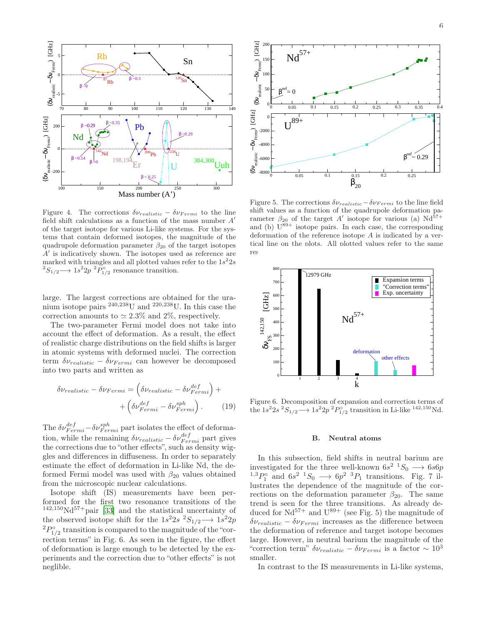

Figure 4. The corrections  $\delta \nu_{realistic} - \delta \nu_{Fermi}$  to the line field shift calculations as a function of the mass number  $A'$ of the target isotope for various Li-like systems. For the systems that contain deformed isotopes, the magnitude of the quadrupole deformation parameter  $\beta_{20}$  of the target isotopes  $A'$  is indicatively shown. The isotopes used as reference are marked with triangles and all plotted values refer to the  $1s^22s$ <sup>2</sup> $S_{1/2}$  → 1s<sup>2</sup> $2p$ <sup>2</sup> $P_{1/2}^{\circ}$  resonance transition.

large. The largest corrections are obtained for the uranium isotope pairs <sup>240,238</sup>U and <sup>220,238</sup>U. In this case the correction amounts to  $\simeq 2.3\%$  and 2%, respectively.

The two-parameter Fermi model does not take into account the effect of deformation. As a result, the effect of realistic charge distributions on the field shifts is larger in atomic systems with deformed nuclei. The correction term  $\delta \nu_{realistic} - \delta \nu_{Fermi}$  can however be decomposed into two parts and written as

$$
\delta \nu_{realistic} - \delta \nu_{Fermi} = \left(\delta \nu_{realistic} - \delta \nu_{Fermi}^{def}\right) + \left(\delta \nu_{Fermi}^{def} - \delta \nu_{Fermi}^{sph}\right). \tag{19}
$$

The  $\delta \nu_{Fermi}^{def} - \delta \nu_{Fermi}^{sph}$  part isolates the effect of deformation, while the remaining  $\delta \nu_{realistic} - \delta \nu_{Fermi}^{def}$  part gives the corrections due to "other effects", such as density wiggles and differences in diffuseness. In order to separately estimate the effect of deformation in Li-like Nd, the deformed Fermi model was used with  $\beta_{20}$  values obtained from the microscopic nuclear calculations.

Isotope shift (IS) measurements have been performed for the first two resonance transitions of the  $142,150\text{Nd}^{57+}$ pair [\[33\]](#page-13-31) and the statistical uncertainty of the observed isotope shift for the  $1s^22s$   ${}^2S_{1/2}$   $\longrightarrow$   $1s^22p$  ${}^{2}P^{\circ}_{1/2}$  transition is compared to the magnitude of the "correction terms" in Fig. 6. As seen in the figure, the effect of deformation is large enough to be detected by the experiments and the correction due to "other effects" is not neglible.



Figure 5. The corrections  $\delta \nu_{realistic}-\delta \nu_{Fermi}$  to the line field shift values as a function of the quadrupole deformation parameter  $\beta_{20}$  of the target A' isotope for various (a) Nd<sup>57+</sup> and (b)  $U^{89+}$  isotope pairs. In each case, the corresponding deformation of the reference isotope A is indicated by a vertical line on the plots. All plotted values refer to the same res



Figure 6. Decomposition of expansion and correction terms of the  $1s^22s^2S_{1/2} \longrightarrow 1s^22p^2P_{1/2}^{\circ}$  transition in Li-like <sup>142,150</sup>Nd.

#### B. Neutral atoms

In this subsection, field shifts in neutral barium are investigated for the three well-known  $6s^2$   $\rightarrow$   $6s6p$  $^{1,3}P_1^{\circ}$  and  $6s^2$   $^1S_0 \longrightarrow 6p^2$   $^3P_1$  transitions. Fig. 7 illustrates the dependence of the magnitude of the corrections on the deformation parameter  $\beta_{20}$ . The same trend is seen for the three transitions. As already deduced for  $Nd^{57+}$  and  $U^{89+}$  (see Fig. 5) the magnitude of  $\delta \nu_{realistic} - \delta \nu_{Fermi}$  increases as the difference between the deformation of reference and target isotope becomes large. However, in neutral barium the magnitude of the "correction term"  $\delta \nu_{realistic} - \delta \nu_{Fermi}$  is a factor ~ 10<sup>3</sup> smaller.

In contrast to the IS measurements in Li-like systems,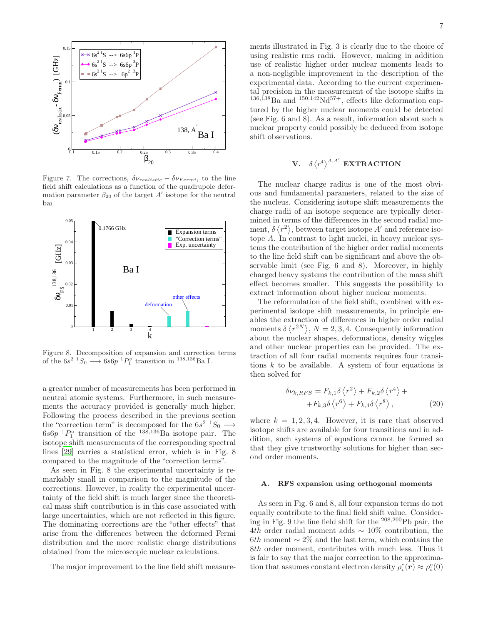

Figure 7. The corrections,  $\delta \nu_{realistic} - \delta \nu_{Fermi}$ , to the line field shift calculations as a function of the quadrupole deformation parameter  $\beta_{20}$  of the target A' isotope for the neutral bai



Figure 8. Decomposition of expansion and correction terms of the  $6s^2$   $\rightarrow$   $6s6p$   $\rightarrow$   $P_1^{\circ}$  transition in  $^{138,136}$ Ba I.

a greater number of measurements has been performed in neutral atomic systems. Furthermore, in such measurements the accuracy provided is generally much higher. Following the process described in the previous section the "correction term" is decomposed for the  $6s^2$   $\frac{1}{50}$   $\rightarrow$  $6s6p$ <sup>1</sup> $P_1^{\circ}$  transition of the <sup>138,136</sup>Ba isotope pair. The isotope shift measurements of the corresponding spectral lines [\[29\]](#page-13-27) carries a statistical error, which is in Fig. 8 compared to the magnitude of the "correction terms".

As seen in Fig. 8 the experimental uncertainty is remarkably small in comparison to the magnitude of the corrections. However, in reality the experimental uncertainty of the field shift is much larger since the theoretical mass shift contribution is in this case associated with large uncertainties, which are not reflected in this figure. The dominating corrections are the "other effects" that arise from the differences between the deformed Fermi distribution and the more realistic charge distributions obtained from the microscopic nuclear calculations.

The major improvement to the line field shift measure-

ments illustrated in Fig. 3 is clearly due to the choice of using realistic rms radii. However, making in addition use of realistic higher order nuclear moments leads to a non-negligible improvement in the description of the experimental data. According to the current experimental precision in the measurement of the isotope shifts in  $136,138$ Ba and  $150,142$ Nd<sup>57+</sup>, effects like deformation captured by the higher nuclear moments could be detected (see Fig. 6 and 8). As a result, information about such a nuclear property could possibly be deduced from isotope shift observations.

# V.  $\delta \langle r^4 \rangle^{A,A'}$  EXTRACTION

The nuclear charge radius is one of the most obvious and fundamental parameters, related to the size of the nucleus. Considering isotope shift measurements the charge radii of an isotope sequence are typically determined in terms of the differences in the second radial moment,  $\delta \langle r^2 \rangle$ , between target isotope A' and reference isotope  $A$ . In contrast to light nuclei, in heavy nuclear systems the contribution of the higher order radial moments to the line field shift can be significant and above the observable limit (see Fig. 6 and 8). Moreover, in highly charged heavy systems the contribution of the mass shift effect becomes smaller. This suggests the possibility to extract information about higher nuclear moments.

The reformulation of the field shift, combined with experimental isotope shift measurements, in principle enables the extraction of differences in higher order radial moments  $\delta \langle r^{2N} \rangle$ ,  $N = 2, 3, 4$ . Consequently information about the nuclear shapes, deformations, density wiggles and other nuclear properties can be provided. The extraction of all four radial moments requires four transitions  $k$  to be available. A system of four equations is then solved for

<span id="page-6-0"></span>
$$
\delta \nu_{k, RFS} = F_{k,1} \delta \left\langle r^2 \right\rangle + F_{k,2} \delta \left\langle r^4 \right\rangle + + F_{k,3} \delta \left\langle r^6 \right\rangle + F_{k,4} \delta \left\langle r^8 \right\rangle, \tag{20}
$$

where  $k = 1, 2, 3, 4$ . However, it is rare that observed isotope shifts are available for four transitions and in addition, such systems of equations cannot be formed so that they give trustworthy solutions for higher than second order moments.

#### A. RFS expansion using orthogonal moments

As seen in Fig. 6 and 8, all four expansion terms do not equally contribute to the final field shift value. Considering in Fig. 9 the line field shift for the <sup>208</sup>,<sup>200</sup>Pb pair, the 4th order radial moment adds  $\sim 10\%$  contribution, the 6th moment  $\sim 2\%$  and the last term, which contains the 8th order moment, contributes with much less. Thus it is fair to say that the major correction to the approximation that assumes constant electron density  $\rho_i^e(\mathbf{r}) \approx \rho_i^e(0)$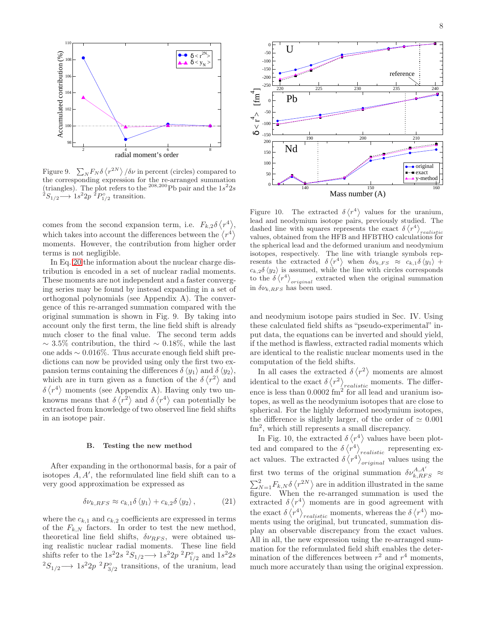

Figure 9.  $\sum_{N} F_{N} \delta \langle r^{2N} \rangle / \delta \nu$  in percent (circles) compared to the corresponding expression for the re-arranged summation (triangles). The plot refers to the <sup>208,200</sup>Pb pair and the  $1s^22s$  $2S_{1/2} \longrightarrow 1s^2 2p \frac{1}{2} P_{1/2}^{\circ}$  transition.

comes from the second expansion term, i.e.  $F_{k,2}\delta\langle r^4\rangle$ , which takes into account the differences between the  $\langle r^4 \rangle$ moments. However, the contribution from higher order terms is not negligible.

In Eq. [20](#page-6-0) the information about the nuclear charge distribution is encoded in a set of nuclear radial moments. These moments are not independent and a faster converging series may be found by instead expanding in a set of orthogonal polynomials (see Appendix A). The convergence of this re-arranged summation compared with the original summation is shown in Fig. 9. By taking into account only the first term, the line field shift is already much closer to the final value. The second term adds  $\sim$  3.5% contribution, the third  $\sim$  0.18%, while the last one adds ∼ 0.016%. Thus accurate enough field shift predictions can now be provided using only the first two expansion terms containing the differences  $\delta \langle y_1 \rangle$  and  $\delta \langle y_2 \rangle$ , which are in turn given as a function of the  $\delta \langle r^2 \rangle$  and  $\delta \langle r^4 \rangle$  moments (see Appendix A). Having only two unknowns means that  $\delta \langle r^2 \rangle$  and  $\delta \langle r^4 \rangle$  can potentially be extracted from knowledge of two observed line field shifts in an isotope pair.

#### B. Testing the new method

After expanding in the orthonormal basis, for a pair of isotopes  $A, A'$ , the reformulated line field shift can to a very good approximation be expressed as

$$
\delta \nu_{k, RFS} \approx c_{k,1} \delta \langle y_1 \rangle + c_{k,2} \delta \langle y_2 \rangle, \qquad (21)
$$

where the  $c_{k,1}$  and  $c_{k,2}$  coefficients are expressed in terms of the  $F_{k,N}$  factors. In order to test the new method, theoretical line field shifts,  $\delta\nu_{RFS}$ , were obtained using realistic nuclear radial moments. These line field shifts refer to the  $1s^22s \frac{2S_{1/2}}{2} \rightarrow 1s^22p \frac{2P_{1/2}^{\circ}}{2}$  and  $1s^22s$ <sup>2</sup>S<sub>1/2</sub> → 1s<sup>2</sup>2p<sup>2</sup> $P_{3/2}^{\circ}$  transitions, of the uranium, lead



Figure 10. The extracted  $\delta \langle r^4 \rangle$  values for the uranium, lead and neodymium isotope pairs, previously studied. The dashed line with squares represents the exact  $\delta \langle r^4 \rangle_{realistic}$ values, obtained from the HFB and HFBTHO calculations for the spherical lead and the deformed uranium and neodymium isotopes, respectively. The line with triangle symbols represents the extracted  $\delta \langle r^4 \rangle$  when  $\delta \nu_{k,FS} \approx c_{k,1} \delta \langle y_1 \rangle +$  $c_{k,2}\delta \langle y_2 \rangle$  is assumed, while the line with circles corresponds to the  $\delta \langle r^4 \rangle_{original}$  extracted when the original summation in  $\delta \nu_{k, RFS}$  has been used.

and neodymium isotope pairs studied in Sec. IV. Using these calculated field shifts as "pseudo-experimental" input data, the equations can be inverted and should yield, if the method is flawless, extracted radial moments which are identical to the realistic nuclear moments used in the computation of the field shifts.

In all cases the extracted  $\delta \langle r^2 \rangle$  moments are almost identical to the exact  $\delta \langle r^2 \rangle_{realistic}$  moments. The difference is less than  $0.0002 \text{ fm}^2$  for all lead and uranium isotopes, as well as the neodymium isotopes that are close to spherical. For the highly deformed neodymium isotopes, the difference is slightly larger, of the order of  $\simeq 0.001$ fm<sup>2</sup>, which still represents a small discrepancy.

In Fig. 10, the extracted  $\delta \langle r^4 \rangle$  values have been plotted and compared to the  $\delta \langle r^4 \rangle_{realistic}$  representing exact values. The extracted  $\delta \langle r^4 \rangle_{original}$  values using the first two terms of the original summation  $\delta \nu_{k, RFS}^{A, A'} \approx$  $\sum_{N=1}^{2} F_{k,N} \delta \left\langle r^{2N} \right\rangle$  are in addition illustrated in the same figure. When the re-arranged summation is used the extracted  $\delta \langle r^4 \rangle$  moments are in good agreement with the exact  $\delta \langle r^4 \rangle_{realistic}$  moments, whereas the  $\delta \langle r^4 \rangle$  moments using the original, but truncated, summation display an observable discrepancy from the exact values. All in all, the new expression using the re-arranged summation for the reformulated field shift enables the determination of the differences between  $r^2$  and  $r^4$  moments, much more accurately than using the original expression.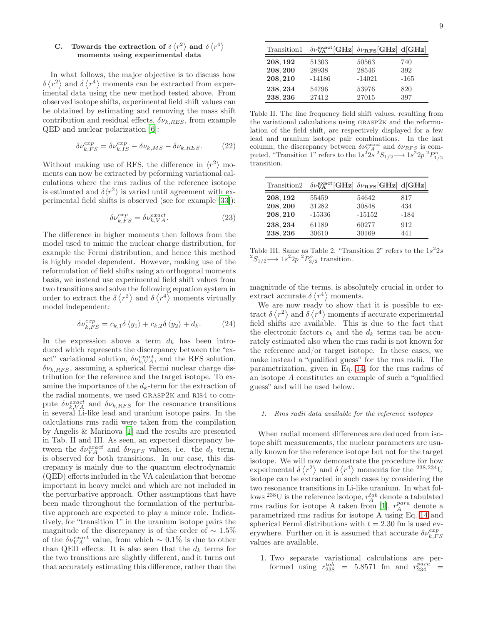# C. Towards the extraction of  $\delta \langle r^2 \rangle$  and  $\delta \langle r^4 \rangle$ moments using experimental data

In what follows, the major objective is to discuss how  $\delta \langle r^2 \rangle$  and  $\delta \langle r^4 \rangle$  moments can be extracted from experimental data using the new method tested above. From observed isotope shifts, experimental field shift values can be obtained by estimating and removing the mass shift contribution and residual effects,  $\delta \nu_{k,RES}$ , from example QED and nuclear polarization [\[6](#page-13-5)]:

$$
\delta \nu_{k,FS}^{exp} = \delta \nu_{k,IS}^{exp} - \delta \nu_{k,MS} - \delta \nu_{k,RES}.
$$
 (22)

Without making use of RFS, the difference in  $\langle r^2 \rangle$  moments can now be extracted by peforming variational calculations where the rms radius of the reference isotope is estimated and  $\delta \langle r^2 \rangle$  is varied until agreement with experimental field shifts is observed (see for example [\[33\]](#page-13-31)):

$$
\delta\nu_{k,FS}^{exp} = \delta\nu_{k,VA}^{exact}.\tag{23}
$$

The difference in higher moments then follows from the model used to mimic the nuclear charge distribution, for example the Fermi distribution, and hence this method is highly model dependent. However, making use of the reformulation of field shifts using an orthogonal moments basis, we instead use experimental field shift values from two transitions and solve the following equation system in order to extract the  $\delta \langle r^2 \rangle$  and  $\delta \langle r^4 \rangle$  moments virtually model independent:

<span id="page-8-0"></span>
$$
\delta \nu_{k,FS}^{exp} = c_{k,1} \delta \langle y_1 \rangle + c_{k,2} \delta \langle y_2 \rangle + d_k. \tag{24}
$$

In the expression above a term  $d_k$  has been introduced which represents the discrepancy between the "exact" variational solution,  $\delta \nu_{k,VA}^{exact}$ , and the RFS solution,  $\delta \nu_{k,RFS}$ , assuming a spherical Fermi nuclear charge distribution for the reference and the target isotope. To examine the importance of the  $d_k$ -term for the extraction of the radial moments, we used GRASP2K and RIS4 to compute  $\delta \nu_{k,VA}^{exact}$  and  $\delta \nu_{k,RFS}$  for the resonance transitions in several Li-like lead and uranium isotope pairs. In the calculations rms radii were taken from the compilation by Angelis & Marinova [\[1](#page-13-0)] and the results are presented in Tab. II and III. As seen, an expected discrepancy between the  $\delta \nu_{VA}^{exact}$  and  $\delta \nu_{RFS}$  values, i.e. the  $d_k$  term, is observed for both transitions. In our case, this discrepancy is mainly due to the quantum electrodynamic (QED) effects included in the VA calculation that become important in heavy nuclei and which are not included in the perturbative approach. Other assumptions that have been made throughout the formulation of the perturbative approach are expected to play a minor role. Indicatively, for "transition 1" in the uranium isotope pairs the magnitude of the discrepancy is of the order of  $\sim 1.5\%$ of the  $\delta\nu_{VA}^{exact}$  value, from which ~ 0.1% is due to other than QED effects. It is also seen that the  $d_k$  terms for the two transitions are slightly different, and it turns out that accurately estimating this difference, rather than the

| Transition1 | $\delta\nu_{\mathbf{VA}}^{\mathbf{exact}}[\mathbf{GHz}] \ \delta\nu_{\mathbf{RFS}}[\mathbf{GHz}] \ \mathbf{d}[\mathbf{GHz}]$ |          |        |
|-------------|------------------------------------------------------------------------------------------------------------------------------|----------|--------|
| 208, 192    | 51303                                                                                                                        | 50563    | 740    |
| 208, 200    | 28938                                                                                                                        | 28546    | 392    |
| 208, 210    | $-14186$                                                                                                                     | $-14021$ | $-165$ |
| 238, 234    | 54796                                                                                                                        | 53976    | 820    |
| 238, 236    | 27412                                                                                                                        | 27015    | 397    |

Table II. The line frequency field shift values, resulting from the variational calculations using grasp2k and the reformulation of the field shift, are respectively displayed for a few lead and uranium isotope pair combinations. In the last column, the discrepancy between  $\delta \nu_{VA}^{exact}$  and  $\delta \nu_{RFS}$  is computed. "Transition 1" refers to the  $1s^2s^3s^2s_{1/2} \longrightarrow 1s^2p^2P_{1/2}^{\circ}$ transition.

| Transition2 | $\delta\nu_{\mathbf{VA}}^{\text{exact}}[\mathbf{GHz}] \delta\nu_{\mathbf{RFS}}[\mathbf{GHz}] d[\mathbf{GHz}]$ |          |        |
|-------------|---------------------------------------------------------------------------------------------------------------|----------|--------|
| 208, 192    | 55459                                                                                                         | 54642    | 817    |
| 208, 200    | 31282                                                                                                         | 30848    | 434    |
| 208, 210    | $-15336$                                                                                                      | $-15152$ | $-184$ |
| 238, 234    | 61189                                                                                                         | 60277    | 912    |
| 238, 236    | 30610                                                                                                         | 30169    | 441    |

Table III. Same as Table 2. "Transition 2" refers to the  $1s^22s$ <sup>2</sup>S<sub>1/2</sub> → 1s<sup>2</sup>2p<sup>2</sup>P<sub>3/2</sub><sup>o</sup> transition.

magnitude of the terms, is absolutely crucial in order to extract accurate  $\delta \langle r^4 \rangle$  moments.

We are now ready to show that it is possible to extract  $\delta \langle r^2 \rangle$  and  $\delta \langle r^4 \rangle$  moments if accurate experimental field shifts are available. This is due to the fact that the electronic factors  $c_k$  and the  $d_k$  terms can be accurately estimated also when the rms radii is not known for the reference and/or target isotope. In these cases, we make instead a "qualified guess" for the rms radii. The parametrization, given in Eq. [14,](#page-2-0) for the rms radius of an isotope A constitutes an example of such a "qualified guess" and will be used below.

#### 1. Rms radii data available for the reference isotopes

When radial moment differences are deduced from isotope shift measurements, the nuclear parameters are usually known for the reference isotope but not for the target isotope. We will now demonstrate the procedure for how experimental  $\delta \langle r^2 \rangle$  and  $\delta \langle r^4 \rangle$  moments for the <sup>238,234</sup>U isotope can be extracted in such cases by considering the two resonance transitions in Li-like uranium. In what follows <sup>238</sup>U is the reference isotope,  $r_A^{tab}$  denote a tabulated rms radius for isotope A taken from [\[1\]](#page-13-0),  $r_A^{para}$  denote a parametrized rms radius for isotope A using Eq. [14](#page-2-0) and spherical Fermi distributions with  $t = 2.30$  fm is used everywhere. Further on it is assumed that accurate  $\delta \nu_{k,FS}^{exp}$ values are available.

1. Two separate variational calculations are performed using  $r_{238}^{tab}$  = 5.8571 fm and  $r_{234}^{para}$  =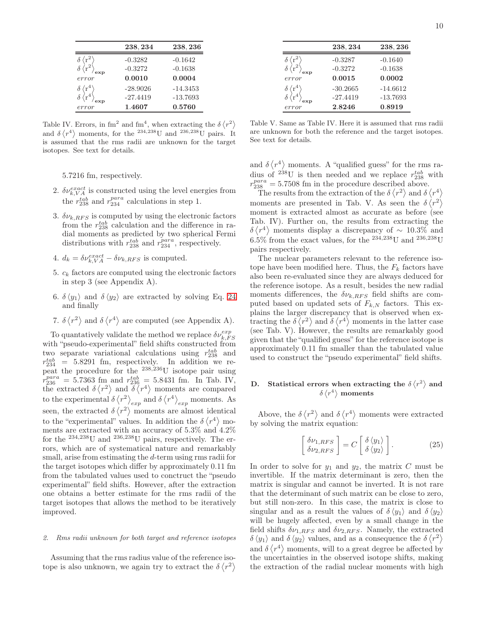|                              | 238, 234   | 238, 236   |
|------------------------------|------------|------------|
|                              | $-0.3282$  | $-0.1642$  |
|                              | $-0.3272$  | $-0.1638$  |
| error                        | 0.0010     | 0.0004     |
| $\theta \langle r^* \rangle$ | $-28.9026$ | $-14.3453$ |
| $\epsilon r^{4}$             | $-27.4419$ | $-13.7693$ |
| error                        | 1.4607     | 0.5760     |

Table IV. Errors, in fm<sup>2</sup> and fm<sup>4</sup>, when extracting the  $\delta \langle r^2 \rangle$ and  $\delta \langle r^4 \rangle$  moments, for the <sup>234,238</sup>U and <sup>236,238</sup>U pairs. It is assumed that the rms radii are unknown for the target isotopes. See text for details.

5.7216 fm, respectively.

- 2.  $\delta \nu_{k,VA}^{exact}$  is constructed using the level energies from the  $r_{238}^{tab}$  and  $r_{234}^{para}$  calculations in step 1.
- 3.  $\delta \nu_{k, RFS}$  is computed by using the electronic factors from the  $r_{238}^{tab}$  calculation and the difference in radial moments as predicted by two spherical Fermi distributions with  $r_{238}^{tab}$  and  $r_{234}^{para}$ , respectively.
- 4.  $d_k = \delta \nu_{k, VA}^{exact} \delta \nu_{k, RFS}$  is computed.
- 5.  $c_k$  factors are computed using the electronic factors in step 3 (see Appendix A).
- 6.  $\delta \langle y_1 \rangle$  and  $\delta \langle y_2 \rangle$  are extracted by solving Eq. [24](#page-8-0) and finally
- 7.  $\delta \langle r^2 \rangle$  and  $\delta \langle r^4 \rangle$  are computed (see Appendix A).

To quantatively validate the method we replace  $\delta \nu_{k,FS}^{exp}$ with "pseudo-experimental" field shifts constructed from two separate variational calculations using  $r_{238}^{tab}$  and  $r_{234}^{tab}$  = 5.8291 fm, respectively. In addition we repeat the procedure for the <sup>238</sup>,236U isotope pair using  $r_{236}^{para} = 5.7363 \text{ fm}$  and  $r_{236}^{tab} = 5.8431 \text{ fm}$ . In Tab. IV, the extracted  $\delta \langle r^2 \rangle$  and  $\delta \langle r^4 \rangle$  moments are compared to the experimental  $\delta \langle r^2 \rangle_{exp}$  and  $\delta \langle r^4 \rangle_{exp}$  moments. As seen, the extracted  $\delta \langle r^2 \rangle$  moments are almost identical to the "experimental" values. In addition the  $\delta \langle r^4 \rangle$  moments are extracted with an accuracy of 5.3% and 4.2% for the <sup>234</sup>,<sup>238</sup>U and <sup>236</sup>,<sup>238</sup>U pairs, respectively. The errors, which are of systematical nature and remarkably small, arise from estimating the d-term using rms radii for the target isotopes which differ by approximately 0.11 fm from the tabulated values used to conctruct the "pseudo experimental" field shifts. However, after the extraction one obtains a better estimate for the rms radii of the target isotopes that allows the method to be iteratively improved.

## 2. Rms radii unknown for both target and reference isotopes

Assuming that the rms radius value of the reference isotope is also unknown, we again try to extract the  $\delta \langle r^2 \rangle$ 

| 238, 234                                   | 238, 236   |
|--------------------------------------------|------------|
| $\delta \langle r^2 \rangle$<br>$-0.3287$  | $-0.1640$  |
| $-0.3272$                                  | $-0.1638$  |
| 0.0015<br>error                            | 0.0002     |
| $\delta \langle r^4 \rangle$<br>$-30.2665$ | $-14.6612$ |
| $-27.4419$                                 | $-13.7693$ |
| 2.8246<br>error                            | 0.8919     |

Table V. Same as Table IV. Here it is assumed that rms radii are unknown for both the reference and the target isotopes. See text for details.

and  $\delta \langle r^4 \rangle$  moments. A "qualified guess" for the rms radius of <sup>238</sup>U is then needed and we replace  $r_{238}^{tab}$  with  $r_{238}^{para} = 5.7508$  fm in the procedure described above.

The results from the extraction of the  $\delta \langle r^2 \rangle$  and  $\delta \langle r^4 \rangle$ moments are presented in Tab. V. As seen the  $\delta \langle r^2 \rangle$ moment is extracted almost as accurate as before (see Tab. IV). Further on, the results from extracting the  $\delta \langle r^4 \rangle$  moments display a discrepancy of ~ 10.3% and  $6.5\%$  from the exact values, for the  $^{234,238}\rm{U}$  and  $^{236,238}\rm{U}$ pairs respectively.

The nuclear parameters relevant to the reference isotope have been modified here. Thus, the  $F_k$  factors have also been re-evaluated since they are always deduced for the reference isotope. As a result, besides the new radial moments differences, the  $\delta \nu_{k,RFS}$  field shifts are computed based on updated sets of  $F_{k,N}$  factors. This explains the larger discrepancy that is observed when extracting the  $\delta \langle r^2 \rangle$  and  $\delta \langle r^4 \rangle$  moments in the latter case (see Tab. V). However, the results are remarkably good given that the "qualified guess" for the reference isotope is approximately 0.11 fm smaller than the tabulated value used to construct the "pseudo experimental" field shifts.

# D. Statistical errors when extracting the  $\delta \langle r^2 \rangle$  and  $\delta \braket{r^4} \text{moments}$

Above, the  $\delta \langle r^2 \rangle$  and  $\delta \langle r^4 \rangle$  moments were extracted by solving the matrix equation:

<span id="page-9-0"></span>
$$
\begin{bmatrix}\n\delta \nu_{1, RFS} \\
\delta \nu_{2, RFS}\n\end{bmatrix} = C \begin{bmatrix}\n\delta \langle y_1 \rangle \\
\delta \langle y_2 \rangle\n\end{bmatrix}.
$$
\n(25)

In order to solve for  $y_1$  and  $y_2$ , the matrix C must be invertible. If the matrix determinant is zero, then the matrix is singular and cannot be inverted. It is not rare that the determinant of such matrix can be close to zero, but still non-zero. In this case, the matrix is close to singular and as a result the values of  $\delta \langle y_1 \rangle$  and  $\delta \langle y_2 \rangle$ will be hugely affected, even by a small change in the field shifts  $\delta\nu_{1,RFS}$  and  $\delta\nu_{2,RFS}$ . Namely, the extracted  $\delta \langle y_1 \rangle$  and  $\delta \langle y_2 \rangle$  values, and as a consequence the  $\delta \langle r^2 \rangle$ and  $\delta \langle r^4 \rangle$  moments, will to a great degree be affected by the uncertainties in the observed isotope shifts, making the extraction of the radial nuclear moments with high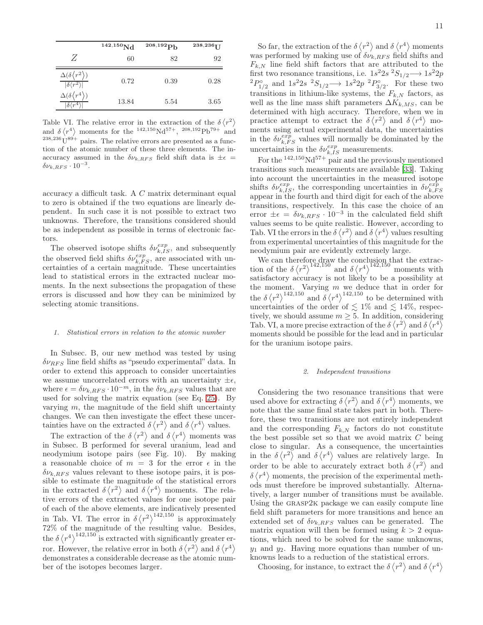|                                         | $142,150$ Nd | 208,192 <sub>Pb</sub> | 238,236 $1$ |
|-----------------------------------------|--------------|-----------------------|-------------|
| Z                                       | 60           | 82                    | 92          |
| $\Delta(\delta$<br>$\sqrt{\delta(r^2)}$ | 0.72         | 0.39                  | 0.28        |
| $\Delta(\delta$<br>$\delta \langle r^4$ | 13.84        | 5.54                  | 3.65        |

Table VI. The relative error in the extraction of the  $\delta \langle r^2 \rangle$ and  $\delta \langle r^4 \rangle$  moments for the <sup>142,150</sup>Nd<sup>57+</sup>, <sup>208,192</sup>Pb<sup>79+</sup> and  $238,236 \text{U}^{89+}$  pairs. The relative errors are presented as a function of the atomic number of these three elements. The inaccuracy assumed in the  $\delta \nu_{k,RFS}$  field shift data is  $\pm \epsilon$  $\delta \nu_{k, RFS} \cdot 10^{-3}$ .

accuracy a difficult task. A C matrix determinant equal to zero is obtained if the two equations are linearly dependent. In such case it is not possible to extract two unknowns. Therefore, the transitions considered should be as independent as possible in terms of electronic factors.

The observed isotope shifts  $\delta \nu_{k,IS}^{exp}$ , and subsequently the observed field shifts  $\delta \nu_{k,FS}^{exp}$ , are associated with uncertainties of a certain magnitude. These uncertainties lead to statistical errors in the extracted nuclear moments. In the next subsections the propagation of these errors is discussed and how they can be minimized by selecting atomic transitions.

#### 1. Statistical errors in relation to the atomic number

In Subsec. B, our new method was tested by using  $\delta\nu_{BFS}$  line field shifts as "pseudo experimental" data. In order to extend this approach to consider uncertainties we assume uncorrelated errors with an uncertainty  $\pm \epsilon$ , where  $\epsilon = \delta \nu_{k, RFS} \cdot 10^{-m}$ , in the  $\delta \nu_{k, RFS}$  values that are used for solving the matrix equation (see Eq. [25\)](#page-9-0). By varying  $m$ , the magnitude of the field shift uncertainty changes. We can then investigate the effect these uncertainties have on the extracted  $\delta \langle r^2 \rangle$  and  $\delta \langle r^4 \rangle$  values.

The extraction of the  $\delta \langle r^2 \rangle$  and  $\delta \langle r^4 \rangle$  moments was in Subsec. B performed for several uranium, lead and neodymium isotope pairs (see Fig. 10). By making a reasonable choice of  $m = 3$  for the error  $\epsilon$  in the  $\delta \nu_{k,RFS}$  values relevant to these isotope pairs, it is possible to estimate the magnitude of the statistical errors in the extracted  $\delta \langle r^2 \rangle$  and  $\delta \langle r^4 \rangle$  moments. The relative errors of the extracted values for one isotope pair of each of the above elements, are indicatively presented in Tab. VI. The error in  $\delta \langle r^2 \rangle^{142,150}$  is approximately 72% of the magnitude of the resulting value. Besides, the  $\delta \langle r^4 \rangle^{142,150}$  is extracted with significantly greater error. However, the relative error in both  $\delta \langle r^2 \rangle$  and  $\delta \langle r^4 \rangle$ demonstrates a considerable decrease as the atomic number of the isotopes becomes larger.

So far, the extraction of the  $\delta \langle r^2 \rangle$  and  $\delta \langle r^4 \rangle$  moments was performed by making use of  $\delta \nu_{k,RFS}$  field shifts and  $F_{k,N}$  line field shift factors that are attributed to the first two resonance transitions, i.e.  $1s^22s^2S_{1/2} \longrightarrow 1s^22p$ <sup>2</sup> $P_{1/2}^{\circ}$  and 1s<sup>2</sup>2s<sup>2</sup> $S_{1/2}$  → 1s<sup>2</sup>2p<sup>2</sup> $P_{3/2}^{\circ}$ . For these two transitions in lithium-like systems, the  $F_{k,N}$  factors, as well as the line mass shift parameters  $\Delta K_{k,MS}$ , can be determined with high accuracy. Therefore, when we in practice attempt to extract the  $\delta \langle r^2 \rangle$  and  $\delta \langle r^4 \rangle$  moments using actual experimental data, the uncertainties in the  $\delta \nu_{k,FS}^{exp}$  values will normally be dominated by the uncertainties in the  $\delta \nu_{k,IS}^{exp}$  measurements.

For the  $142,150\text{Nd}57+$  pair and the previously mentioned transitions such measurements are available [\[33](#page-13-31)]. Taking into account the uncertainties in the measured isotope shifts  $\delta \nu_{k,IS}^{exp}$ , the corresponding uncertainties in  $\delta \nu_{k,FS}^{exp}$ appear in the fourth and third digit for each of the above transitions, respectively. In this case the choice of an error  $\pm \epsilon = \delta \nu_{k, RFS} \cdot 10^{-3}$  in the calculated field shift values seems to be quite realistic. However, according to Tab. VI the errors in the  $\delta \langle r^2 \rangle$  and  $\delta \langle r^4 \rangle$  values resulting from experimental uncertainties of this magnitude for the neodymium pair are evidently extremely large.

We can therefore draw the conclusion that the extraction of the  $\delta \langle r^2 \rangle^{142,150}$  and  $\delta \langle r^4 \rangle^{142,150}$  moments with satisfactory accuracy is not likely to be a possibility at the moment. Varying  $m$  we deduce that in order for the  $\delta \langle r^2 \rangle^{142,150}$  and  $\delta \langle r^4 \rangle^{142,150}$  to be determined with uncertainties of the order of  $\lesssim 1\%$  and  $\lesssim 14\%$ , respectively, we should assume  $m \geq 5$ . In addition, considering Tab. VI, a more precise extraction of the  $\delta \langle r^2 \rangle$  and  $\delta \langle r^4 \rangle$ moments should be possible for the lead and in particular for the uranium isotope pairs.

#### 2. Independent transitions

Considering the two resonance transitions that were used above for extracting  $\delta \langle r^2 \rangle$  and  $\delta \langle r^4 \rangle$  moments, we note that the same final state takes part in both. Therefore, these two transitions are not entirely independent and the corresponding  $F_{k,N}$  factors do not constitute the best possible set so that we avoid matrix  $C$  being close to singular. As a consequence, the uncertainties in the  $\delta \langle r^2 \rangle$  and  $\delta \langle r^4 \rangle$  values are relatively large. In order to be able to accurately extract both  $\delta \langle r^2 \rangle$  and  $\delta \langle r^4 \rangle$  moments, the precision of the experimental methods must therefore be improved substantially. Alternatively, a larger number of transitions must be available. Using the GRASP2K package we can easily compute line field shift parameters for more transitions and hence an extended set of  $\delta \nu_{k,RFS}$  values can be generated. The matrix equation will then be formed using  $k > 2$  equations, which need to be solved for the same unknowns,  $y_1$  and  $y_2$ . Having more equations than number of unknowns leads to a reduction of the statistical errors.

Choosing, for instance, to extract the  $\delta \langle r^2 \rangle$  and  $\delta \langle r^4 \rangle$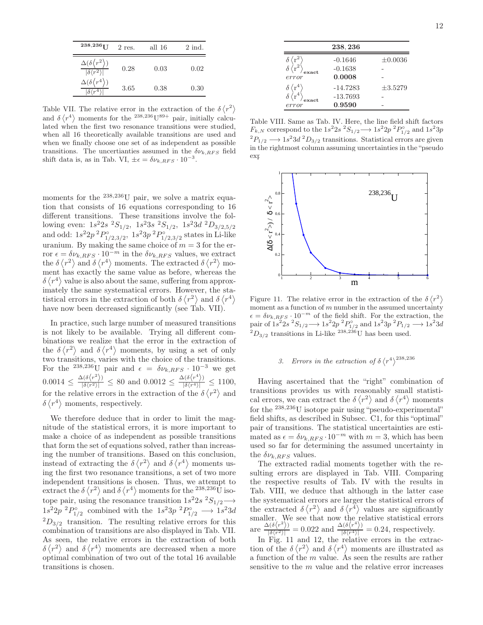| $238,236$ <sup>T</sup>                                             | $2$ res. | all 16 | $2$ ind. |
|--------------------------------------------------------------------|----------|--------|----------|
| $\Delta(\delta\langle r^2\rangle)$<br>$ \delta\langle r^2\rangle $ | 0.28     | 0.03   | 0.02     |
| $\Delta(\delta\langle r^4\rangle)$<br>$\delta/r^4$                 | 3.65     | 0.38   | 0.30     |

Table VII. The relative error in the extraction of the  $\delta \langle r^2 \rangle$ and  $\delta \langle r^4 \rangle$  moments for the <sup>238,236</sup>U<sup>89+</sup> pair, initially calculated when the first two resonance transitions were studied, when all 16 theoretically available transitions are used and when we finally choose one set of as independent as possible transitions. The uncertianties assumed in the  $\delta \nu_{k,RFS}$  field shift data is, as in Tab. VI,  $\pm \epsilon = \delta \nu_{k, RFS} \cdot 10^{-3}$ .

moments for the <sup>238,236</sup>U pair, we solve a matrix equation that consists of 16 equations corresponding to 16 different transitions. These transitions involve the following even:  $1s^22s\ ^2S_{1/2}$ ,  $1s^23s\ ^2S_{1/2}$ ,  $1s^23d\ ^2D_{3/2,5/2}$ and odd:  $1s^22p^2P_{1/2,3/2}^{\circ}$ ,  $1s^23p^2P_{1/2,3/2}^{\circ}$  states in Li-like uranium. By making the same choice of  $m = 3$  for the error  $\epsilon = \delta \nu_{k, RFS} \cdot 10^{-m}$  in the  $\delta \nu_{k, RFS}$  values, we extract the  $\delta \langle r^2 \rangle$  and  $\delta \langle r^4 \rangle$  moments. The extracted  $\delta \langle r^2 \rangle$  moment has exactly the same value as before, whereas the  $\delta \langle r^4 \rangle$  value is also about the same, suffering from approximately the same systematical errors. However, the statistical errors in the extraction of both  $\delta \langle r^2 \rangle$  and  $\delta \langle r^4 \rangle$ have now been decreased significantly (see Tab. VII).

In practice, such large number of measured transitions is not likely to be available. Trying all different combinations we realize that the error in the extraction of the  $\delta \langle r^2 \rangle$  and  $\delta \langle r^4 \rangle$  moments, by using a set of only two transitions, varies with the choice of the transitions. For the <sup>238,236</sup>U pair and  $\epsilon = \delta \nu_{k, RFS} \cdot 10^{-3}$  we get  $0.0014 \leq \frac{\Delta(\delta \langle r^2 \rangle)}{|\delta \langle r^2 \rangle|} \leq 80$  and  $0.0012 \leq \frac{\Delta(\delta \langle r^4 \rangle)}{|\delta \langle r^4 \rangle|} \leq 1100$ , for the relative errors in the extraction of the  $\delta \langle r^2 \rangle$  and  $\delta \langle r^4 \rangle$  moments, respectively.

We therefore deduce that in order to limit the magnitude of the statistical errors, it is more important to make a choice of as independent as possible transitions that form the set of equations solved, rather than increasing the number of transitions. Based on this conclusion, instead of extracting the  $\delta \langle r^2 \rangle$  and  $\delta \langle r^4 \rangle$  moments using the first two resonance transitions, a set of two more independent transitions is chosen. Thus, we attempt to extract the  $\delta \langle r^2 \rangle$  and  $\delta \langle r^4 \rangle$  moments for the <sup>238,236</sup>U isotope pair, using the resonance transition  $1s^22s^2S_{1/2} \longrightarrow$  $1s^22p^2P_{1/2}^{\circ}$  combined with the  $1s^23p^2P_{1/2}^{\circ} \longrightarrow 1s^23d$  ${}^{2}D_{3/2}$  transition. The resulting relative errors for this combination of transitions are also displayed in Tab. VII. As seen, the relative errors in the extraction of both  $\delta \langle r^2 \rangle$  and  $\delta \langle r^4 \rangle$  moments are decreased when a more optimal combination of two out of the total 16 available transitions is chosen.

|                                                           | 238, 236   |              |
|-----------------------------------------------------------|------------|--------------|
|                                                           | $-0.1646$  | $\pm 0.0036$ |
|                                                           | $-0.1638$  |              |
| error                                                     | 0.0008     |              |
| $\delta \sqrt{\mathrm{r}^4} \ \delta \sqrt{\mathrm{r}^4}$ | $-14.7283$ | $\pm 3.5279$ |
|                                                           | $-13.7693$ |              |
| error                                                     | 0.9590     |              |

Table VIII. Same as Tab. IV. Here, the line field shift factors  $F_{k,N}$  correspond to the  $1s^22s^2S_{1/2} \longrightarrow 1s^22p^2P_{1/2}^{\circ}$  and  $1s^23p$  ${}^{2}P_{1/2} \longrightarrow 1s^{2}3d~^{2}D_{3/2}$  transitions. Statistical errors are given in the rightmost column assuming uncertainties in the "pseudo  $\exp(-\frac{1}{\sqrt{2}}\log(\frac{1}{\sqrt{2}}))$ 



Figure 11. The relative error in the extraction of the  $\delta \langle r^2 \rangle$ moment as a function of  $m$  number in the assumed uncertainty  $\epsilon = \delta \nu_{k, RFS} \cdot 10^{-m}$  of the field shift. For the extraction, the pair of  $1s^22s^2S_{1/2} \longrightarrow 1s^22p^2P_{1/2}^{\circ}$  and  $1s^23p^2P_{1/2} \longrightarrow 1s^23d$  ${}^{2}D_{3/2}$  transitions in Li-like  ${}^{238,236}$ U has been used.

# 3. Errors in the extraction of  $\delta \langle r^4 \rangle^{238,236}$

Having ascertained that the "right" combination of transitions provides us with reasonably small statistical errors, we can extract the  $\delta \langle r^2 \rangle$  and  $\delta \langle r^4 \rangle$  moments for the <sup>238</sup>,236U isotope pair using "pseudo-experimental" field shifts, as described in Subsec. C1, for this "optimal" pair of transitions. The statistical uncertainties are estimated as  $\epsilon = \delta \nu_{k, RFS} \cdot 10^{-m}$  with  $m = 3$ , which has been used so far for determining the assumed uncertainty in the  $\delta \nu_{k, RFS}$  values.

The extracted radial moments together with the resulting errors are displayed in Tab. VIII. Comparing the respective results of Tab. IV with the results in Tab. VIII, we deduce that although in the latter case the systematical errors are larger the statistical errors of the extracted  $\delta \langle r^2 \rangle$  and  $\delta \langle r^4 \rangle$  values are significantly smaller. We see that now the relative statistical errors are  $\frac{\Delta(\delta \langle r^2 \rangle)}{|\delta \langle r^2 \rangle|} = 0.022$  and  $\frac{\Delta(\delta \langle r^4 \rangle)}{|\delta \langle r^4 \rangle|} = 0.24$ , respectively.

In Fig. 11 and 12, the relative errors in the extraction of the  $\delta \langle r^2 \rangle$  and  $\delta \langle r^4 \rangle$  moments are illustrated as a function of the m value. As seen the results are rather sensitive to the m value and the relative error increases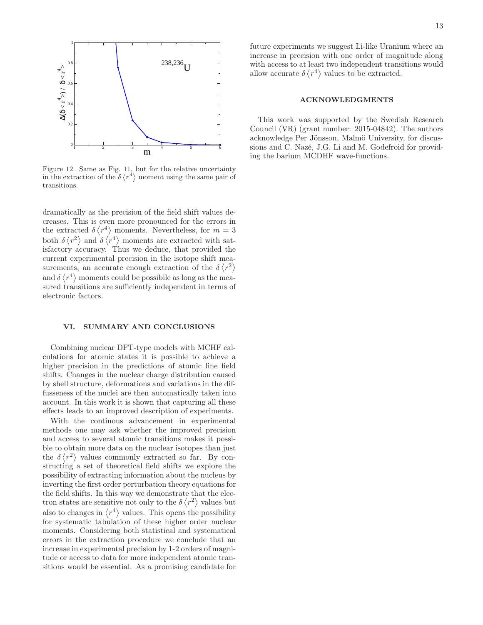

Figure 12. Same as Fig. 11, but for the relative uncertainty in the extraction of the  $\delta \langle r^4 \rangle$  moment using the same pair of transitions.

dramatically as the precision of the field shift values decreases. This is even more pronounced for the errors in the extracted  $\delta \langle r^4 \rangle$  moments. Nevertheless, for  $m=3$ both  $\delta \langle r^2 \rangle$  and  $\delta \langle r^4 \rangle$  moments are extracted with satisfactory accuracy. Thus we deduce, that provided the current experimental precision in the isotope shift measurements, an accurate enough extraction of the  $\delta \langle r^2 \rangle$ and  $\delta \langle r^4 \rangle$  moments could be possibile as long as the measured transitions are sufficiently independent in terms of electronic factors.

#### VI. SUMMARY AND CONCLUSIONS

Combining nuclear DFT-type models with MCHF calculations for atomic states it is possible to achieve a higher precision in the predictions of atomic line field shifts. Changes in the nuclear charge distribution caused by shell structure, deformations and variations in the diffusseness of the nuclei are then automatically taken into account. In this work it is shown that capturing all these effects leads to an improved description of experiments.

With the continous advancement in experimental methods one may ask whether the improved precision and access to several atomic transitions makes it possible to obtain more data on the nuclear isotopes than just the  $\delta \langle r^2 \rangle$  values commonly extracted so far. By constructing a set of theoretical field shifts we explore the possibility of extracting information about the nucleus by inverting the first order perturbation theory equations for the field shifts. In this way we demonstrate that the electron states are sensitive not only to the  $\delta \langle r^2 \rangle$  values but also to changes in  $\langle r^4 \rangle$  values. This opens the possibility for systematic tabulation of these higher order nuclear moments. Considering both statistical and systematical errors in the extraction procedure we conclude that an increase in experimental precision by 1-2 orders of magnitude or access to data for more independent atomic transitions would be essential. As a promising candidate for

future experiments we suggest Li-like Uranium where an increase in precision with one order of magnitude along with access to at least two independent transitions would allow accurate  $\delta \langle r^4 \rangle$  values to be extracted.

# ACKNOWLEDGMENTS

This work was supported by the Swedish Research Council (VR) (grant number: 2015-04842). The authors acknowledge Per Jönsson, Malmö University, for discussions and C. Nazé, J.G. Li and M. Godefroid for providing the barium MCDHF wave-functions.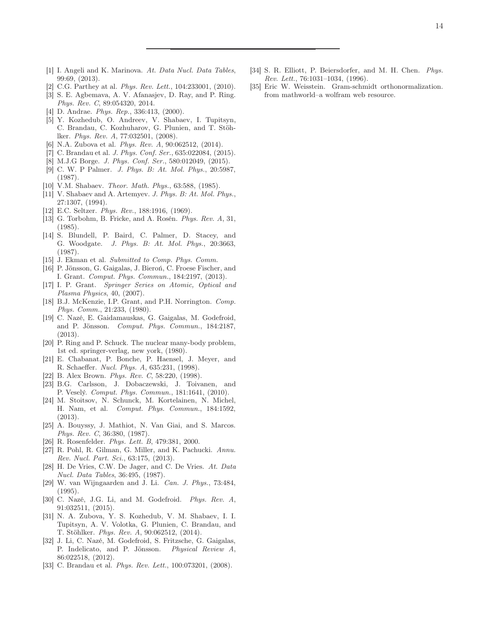- <span id="page-13-0"></span>[1] I. Angeli and K. Marinova. At. Data Nucl. Data Tables, 99:69, (2013).
- <span id="page-13-1"></span>[2] C.G. Parthey at al. *Phys. Rev. Lett.*, 104:233001, (2010).
- <span id="page-13-2"></span>[3] S. E. Agbemava, A. V. Afanasjev, D. Ray, and P. Ring. Phys. Rev. C, 89:054320, 2014.
- <span id="page-13-3"></span>[4] D. Andrae. *Phys. Rep.*, 336:413, (2000).
- <span id="page-13-4"></span>[5] Y. Kozhedub, O. Andreev, V. Shabaev, I. Tupitsyn, C. Brandau, C. Kozhuharov, G. Plunien, and T. Stöhlker. Phys. Rev. A, 77:032501, (2008).
- <span id="page-13-5"></span>[6] N.A. Zubova et al. Phys. Rev. A, 90:062512, (2014).
- <span id="page-13-6"></span>[7] C. Brandau et al. J. Phys. Conf. Ser., 635:022084, (2015).
- <span id="page-13-7"></span>[8] M.J.G Borge. *J. Phys. Conf. Ser.*, 580:012049, (2015).
- <span id="page-13-8"></span>[9] C. W. P Palmer. J. Phys. B: At. Mol. Phys., 20:5987, (1987).
- [10] V.M. Shabaev. Theor. Math. Phys., 63:588, (1985).
- <span id="page-13-9"></span>[11] V. Shabaev and A. Artemyev. J. Phys. B: At. Mol. Phys., 27:1307, (1994).
- <span id="page-13-10"></span>[12] E.C. Seltzer. *Phys. Rev.*, 188:1916, (1969).
- <span id="page-13-11"></span>[13] G. Torbohm, B. Fricke, and A. Rosén. *Phys. Rev. A*, 31, (1985).
- <span id="page-13-12"></span>[14] S. Blundell, P. Baird, C. Palmer, D. Stacey, and G. Woodgate. J. Phys. B: At. Mol. Phys., 20:3663, (1987).
- <span id="page-13-13"></span>[15] J. Ekman et al. Submitted to Comp. Phys. Comm.
- <span id="page-13-14"></span>[16] P. Jönsson, G. Gaigalas, J. Bieroń, C. Froese Fischer, and I. Grant. Comput. Phys. Commun., 184:2197, (2013).
- <span id="page-13-15"></span>[17] I. P. Grant. Springer Series on Atomic, Optical and Plasma Physics, 40, (2007).
- <span id="page-13-16"></span>[18] B.J. McKenzie, I.P. Grant, and P.H. Norrington. Comp. Phys. Comm., 21:233, (1980).
- <span id="page-13-17"></span>[19] C. Nazé, E. Gaidamauskas, G. Gaigalas, M. Godefroid, and P. Jönsson. Comput. Phys. Commun., 184:2187, (2013).
- <span id="page-13-18"></span>[20] P. Ring and P. Schuck. The nuclear many-body problem, 1st ed. springer-verlag, new york, (1980).
- <span id="page-13-19"></span>[21] E. Chabanat, P. Bonche, P. Haensel, J. Meyer, and R. Schaeffer. Nucl. Phys. A, 635:231, (1998).
- <span id="page-13-20"></span>[22] B. Alex Brown. Phys. Rev. C, 58:220, (1998).
- <span id="page-13-21"></span>[23] B.G. Carlsson, J. Dobaczewski, J. Toivanen, and P. Veselý. Comput. Phys. Commun., 181:1641, (2010).
- <span id="page-13-22"></span>[24] M. Stoitsov, N. Schunck, M. Kortelainen, N. Michel, H. Nam, et al. Comput. Phys. Commun., 184:1592, (2013).
- <span id="page-13-23"></span>[25] A. Bouyssy, J. Mathiot, N. Van Giai, and S. Marcos. Phys. Rev. C, 36:380, (1987).
- <span id="page-13-24"></span>[26] R. Rosenfelder. *Phys. Lett. B*, 479:381, 2000.
- <span id="page-13-25"></span>[27] R. Pohl, R. Gilman, G. Miller, and K. Pachucki. Annu. Rev. Nucl. Part. Sci., 63:175, (2013).
- <span id="page-13-26"></span>[28] H. De Vries, C.W. De Jager, and C. De Vries. At. Data Nucl. Data Tables, 36:495, (1987).
- <span id="page-13-27"></span>[29] W. van Wijngaarden and J. Li. Can. J. Phys., 73:484, (1995).
- <span id="page-13-28"></span>[30] C. Nazé, J.G. Li, and M. Godefroid. Phys. Rev. A, 91:032511, (2015).
- <span id="page-13-29"></span>[31] N. A. Zubova, Y. S. Kozhedub, V. M. Shabaev, I. I. Tupitsyn, A. V. Volotka, G. Plunien, C. Brandau, and T. Stöhlker. Phys. Rev. A, 90:062512, (2014).
- [32] J. Li, C. Nazé, M. Godefroid, S. Fritzsche, G. Gaigalas, P. Indelicato, and P. Jönsson. Physical Review A, 86:022518, (2012).
- <span id="page-13-31"></span>[33] C. Brandau et al. Phys. Rev. Lett., 100:073201, (2008).
- <span id="page-13-30"></span>[34] S. R. Elliott, P. Beiersdorfer, and M. H. Chen. Phys. Rev. Lett., 76:1031–1034, (1996).
- <span id="page-13-32"></span>[35] Eric W. Weisstein. Gram-schmidt orthonormalization. from mathworld–a wolfram web resource.